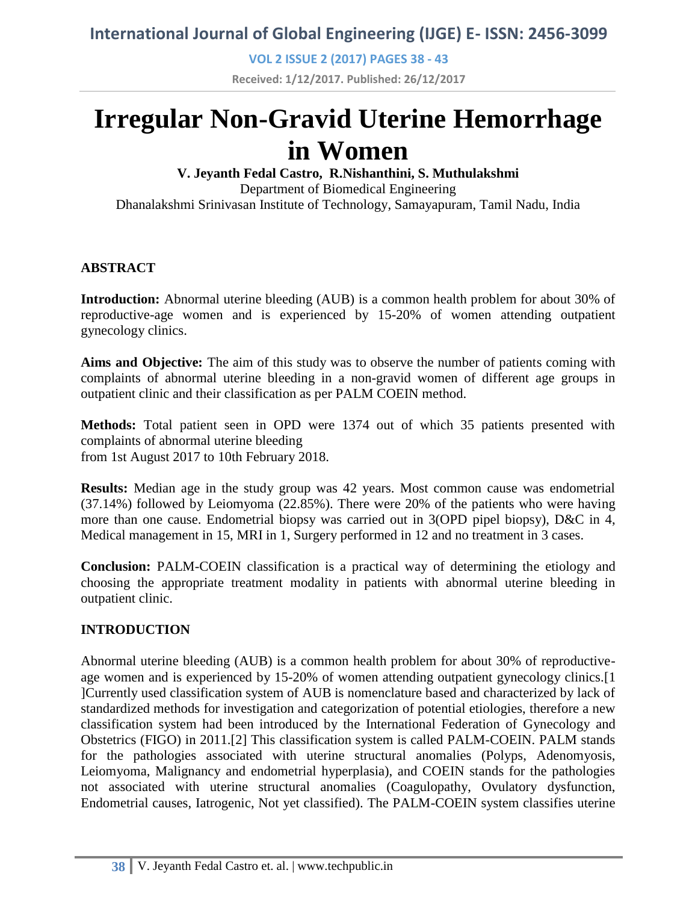**VOL 2 ISSUE 2 (2017) PAGES 38 - 43**

**Received: 1/12/2017. Published: 26/12/2017**

# **Irregular Non-Gravid Uterine Hemorrhage in Women**

**V. Jeyanth Fedal Castro, R.Nishanthini, S. Muthulakshmi** Department of Biomedical Engineering Dhanalakshmi Srinivasan Institute of Technology, Samayapuram, Tamil Nadu, India

### **ABSTRACT**

**Introduction:** Abnormal uterine bleeding (AUB) is a common health problem for about 30% of reproductive-age women and is experienced by 15-20% of women attending outpatient gynecology clinics.

**Aims and Objective:** The aim of this study was to observe the number of patients coming with complaints of abnormal uterine bleeding in a non-gravid women of different age groups in outpatient clinic and their classification as per PALM COEIN method.

**Methods:** Total patient seen in OPD were 1374 out of which 35 patients presented with complaints of abnormal uterine bleeding from 1st August 2017 to 10th February 2018.

**Results:** Median age in the study group was 42 years. Most common cause was endometrial (37.14%) followed by Leiomyoma (22.85%). There were 20% of the patients who were having more than one cause. Endometrial biopsy was carried out in 3(OPD pipel biopsy), D&C in 4, Medical management in 15, MRI in 1, Surgery performed in 12 and no treatment in 3 cases.

**Conclusion:** PALM-COEIN classification is a practical way of determining the etiology and choosing the appropriate treatment modality in patients with abnormal uterine bleeding in outpatient clinic.

### **INTRODUCTION**

Abnormal uterine bleeding (AUB) is a common health problem for about 30% of reproductiveage women and is experienced by 15-20% of women attending outpatient gynecology clinics.[1 ]Currently used classification system of AUB is nomenclature based and characterized by lack of standardized methods for investigation and categorization of potential etiologies, therefore a new classification system had been introduced by the International Federation of Gynecology and Obstetrics (FIGO) in 2011.[2] This classification system is called PALM-COEIN. PALM stands for the pathologies associated with uterine structural anomalies (Polyps, Adenomyosis, Leiomyoma, Malignancy and endometrial hyperplasia), and COEIN stands for the pathologies not associated with uterine structural anomalies (Coagulopathy, Ovulatory dysfunction, Endometrial causes, Iatrogenic, Not yet classified). The PALM-COEIN system classifies uterine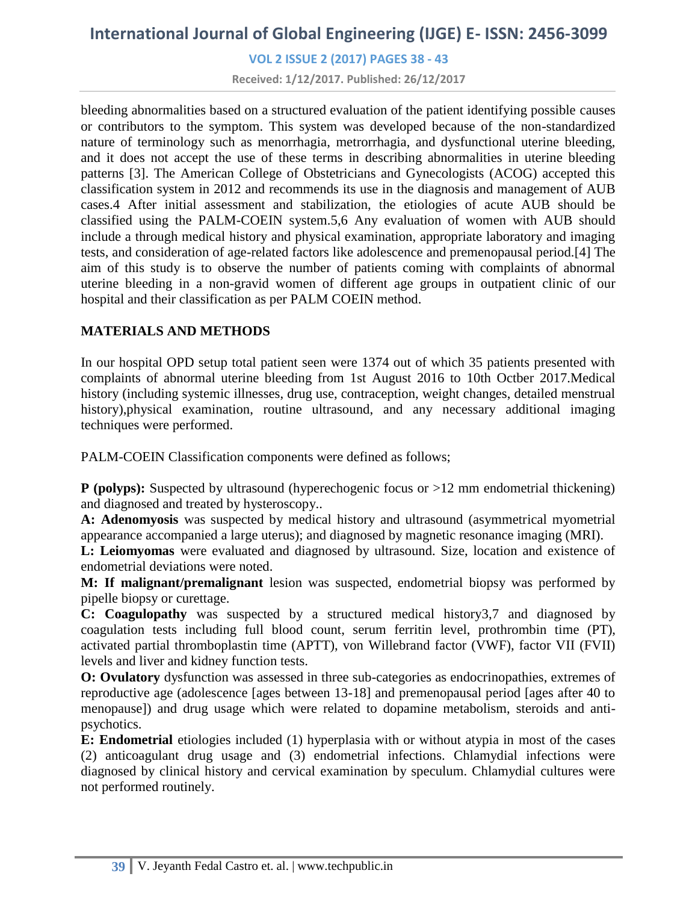**VOL 2 ISSUE 2 (2017) PAGES 38 - 43**

**Received: 1/12/2017. Published: 26/12/2017**

bleeding abnormalities based on a structured evaluation of the patient identifying possible causes or contributors to the symptom. This system was developed because of the non-standardized nature of terminology such as menorrhagia, metrorrhagia, and dysfunctional uterine bleeding, and it does not accept the use of these terms in describing abnormalities in uterine bleeding patterns [3]. The American College of Obstetricians and Gynecologists (ACOG) accepted this classification system in 2012 and recommends its use in the diagnosis and management of AUB cases.4 After initial assessment and stabilization, the etiologies of acute AUB should be classified using the PALM-COEIN system.5,6 Any evaluation of women with AUB should include a through medical history and physical examination, appropriate laboratory and imaging tests, and consideration of age-related factors like adolescence and premenopausal period.[4] The aim of this study is to observe the number of patients coming with complaints of abnormal uterine bleeding in a non-gravid women of different age groups in outpatient clinic of our hospital and their classification as per PALM COEIN method.

### **MATERIALS AND METHODS**

In our hospital OPD setup total patient seen were 1374 out of which 35 patients presented with complaints of abnormal uterine bleeding from 1st August 2016 to 10th Octber 2017.Medical history (including systemic illnesses, drug use, contraception, weight changes, detailed menstrual history), physical examination, routine ultrasound, and any necessary additional imaging techniques were performed.

PALM-COEIN Classification components were defined as follows;

**P** (polyps): Suspected by ultrasound (hyperechogenic focus or >12 mm endometrial thickening) and diagnosed and treated by hysteroscopy..

**A: Adenomyosis** was suspected by medical history and ultrasound (asymmetrical myometrial appearance accompanied a large uterus); and diagnosed by magnetic resonance imaging (MRI).

**L: Leiomyomas** were evaluated and diagnosed by ultrasound. Size, location and existence of endometrial deviations were noted.

**M: If malignant/premalignant** lesion was suspected, endometrial biopsy was performed by pipelle biopsy or curettage.

**C: Coagulopathy** was suspected by a structured medical history3,7 and diagnosed by coagulation tests including full blood count, serum ferritin level, prothrombin time (PT), activated partial thromboplastin time (APTT), von Willebrand factor (VWF), factor VII (FVII) levels and liver and kidney function tests.

**O: Ovulatory** dysfunction was assessed in three sub-categories as endocrinopathies, extremes of reproductive age (adolescence [ages between 13-18] and premenopausal period [ages after 40 to menopause]) and drug usage which were related to dopamine metabolism, steroids and antipsychotics.

**E: Endometrial** etiologies included (1) hyperplasia with or without atypia in most of the cases (2) anticoagulant drug usage and (3) endometrial infections. Chlamydial infections were diagnosed by clinical history and cervical examination by speculum. Chlamydial cultures were not performed routinely.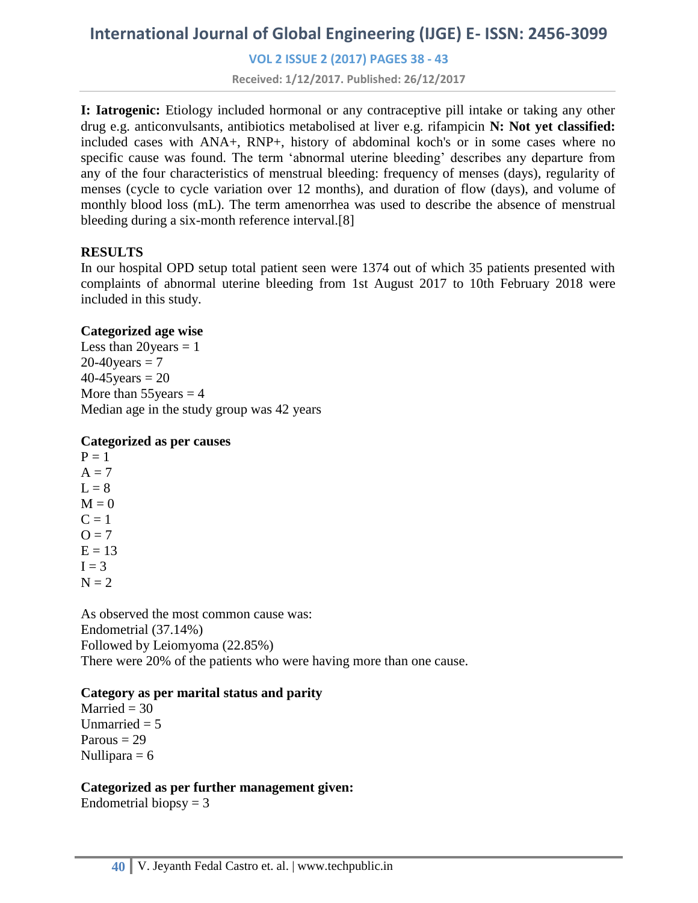**VOL 2 ISSUE 2 (2017) PAGES 38 - 43**

**Received: 1/12/2017. Published: 26/12/2017**

**I: Iatrogenic:** Etiology included hormonal or any contraceptive pill intake or taking any other drug e.g. anticonvulsants, antibiotics metabolised at liver e.g. rifampicin **N: Not yet classified:**  included cases with ANA+, RNP+, history of abdominal koch's or in some cases where no specific cause was found. The term 'abnormal uterine bleeding' describes any departure from any of the four characteristics of menstrual bleeding: frequency of menses (days), regularity of menses (cycle to cycle variation over 12 months), and duration of flow (days), and volume of monthly blood loss (mL). The term amenorrhea was used to describe the absence of menstrual bleeding during a six-month reference interval.[8]

#### **RESULTS**

In our hospital OPD setup total patient seen were 1374 out of which 35 patients presented with complaints of abnormal uterine bleeding from 1st August 2017 to 10th February 2018 were included in this study.

#### **Categorized age wise**

Less than  $20$  years  $= 1$  $20-40$  years = 7  $40 - 45$  years = 20 More than  $55$ years = 4 Median age in the study group was 42 years

#### **Categorized as per causes**

 $P = 1$  $A = 7$  $L = 8$  $M = 0$  $C = 1$  $Q = 7$  $E = 13$  $I = 3$  $N = 2$ 

As observed the most common cause was: Endometrial (37.14%) Followed by Leiomyoma (22.85%) There were 20% of the patients who were having more than one cause.

#### **Category as per marital status and parity**

Married  $= 30$ Unmarried  $= 5$ Parous  $= 29$ Nullipara  $= 6$ 

#### **Categorized as per further management given:**

Endometrial biopsy  $= 3$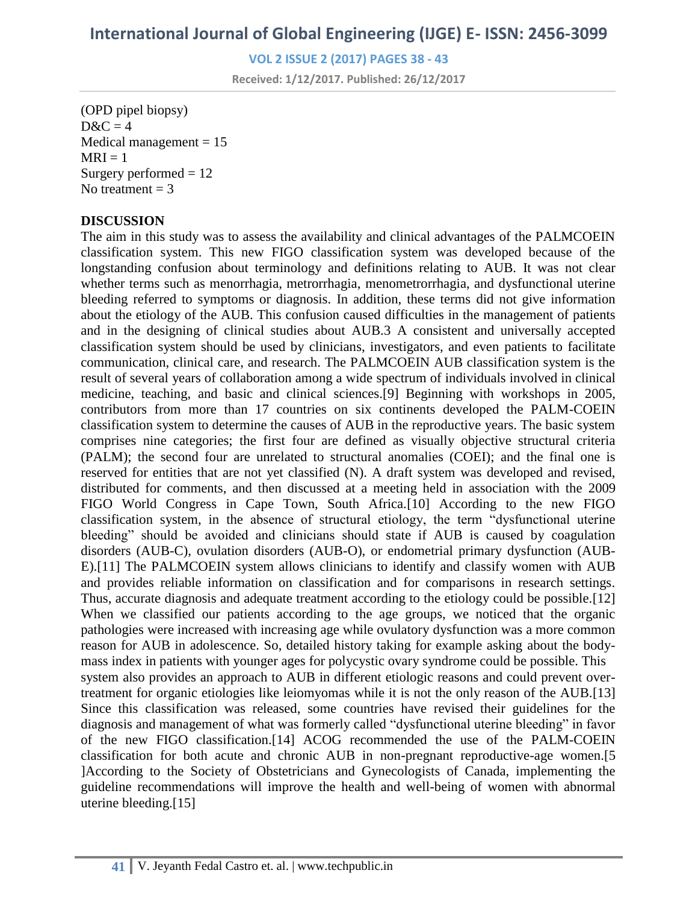**VOL 2 ISSUE 2 (2017) PAGES 38 - 43**

**Received: 1/12/2017. Published: 26/12/2017**

(OPD pipel biopsy)  $D&C=4$ Medical management  $= 15$  $MRI = 1$ Surgery performed  $= 12$ No treatment  $= 3$ 

#### **DISCUSSION**

The aim in this study was to assess the availability and clinical advantages of the PALMCOEIN classification system. This new FIGO classification system was developed because of the longstanding confusion about terminology and definitions relating to AUB. It was not clear whether terms such as menorrhagia, metrorrhagia, menometrorrhagia, and dysfunctional uterine bleeding referred to symptoms or diagnosis. In addition, these terms did not give information about the etiology of the AUB. This confusion caused difficulties in the management of patients and in the designing of clinical studies about AUB.3 A consistent and universally accepted classification system should be used by clinicians, investigators, and even patients to facilitate communication, clinical care, and research. The PALMCOEIN AUB classification system is the result of several years of collaboration among a wide spectrum of individuals involved in clinical medicine, teaching, and basic and clinical sciences.[9] Beginning with workshops in 2005, contributors from more than 17 countries on six continents developed the PALM-COEIN classification system to determine the causes of AUB in the reproductive years. The basic system comprises nine categories; the first four are defined as visually objective structural criteria (PALM); the second four are unrelated to structural anomalies (COEI); and the final one is reserved for entities that are not yet classified (N). A draft system was developed and revised, distributed for comments, and then discussed at a meeting held in association with the 2009 FIGO World Congress in Cape Town, South Africa.<sup>[10]</sup> According to the new FIGO classification system, in the absence of structural etiology, the term "dysfunctional uterine bleeding" should be avoided and clinicians should state if AUB is caused by coagulation disorders (AUB-C), ovulation disorders (AUB-O), or endometrial primary dysfunction (AUB-E).[11] The PALMCOEIN system allows clinicians to identify and classify women with AUB and provides reliable information on classification and for comparisons in research settings. Thus, accurate diagnosis and adequate treatment according to the etiology could be possible.[12] When we classified our patients according to the age groups, we noticed that the organic pathologies were increased with increasing age while ovulatory dysfunction was a more common reason for AUB in adolescence. So, detailed history taking for example asking about the bodymass index in patients with younger ages for polycystic ovary syndrome could be possible. This system also provides an approach to AUB in different etiologic reasons and could prevent overtreatment for organic etiologies like leiomyomas while it is not the only reason of the AUB.[13] Since this classification was released, some countries have revised their guidelines for the diagnosis and management of what was formerly called "dysfunctional uterine bleeding" in favor of the new FIGO classification.[14] ACOG recommended the use of the PALM-COEIN classification for both acute and chronic AUB in non-pregnant reproductive-age women.[5 ]According to the Society of Obstetricians and Gynecologists of Canada, implementing the guideline recommendations will improve the health and well-being of women with abnormal uterine bleeding.[15]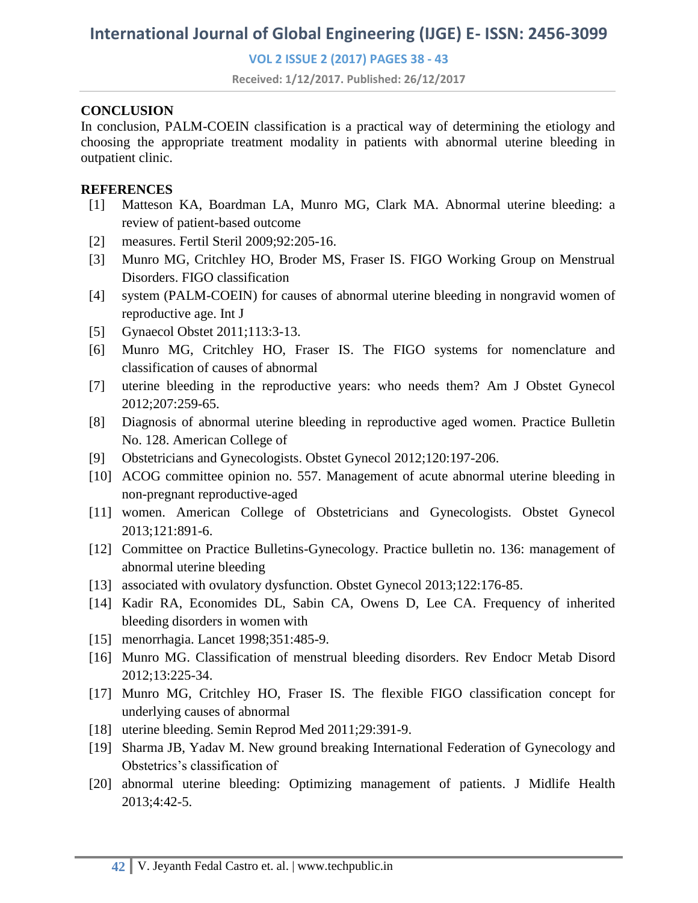**VOL 2 ISSUE 2 (2017) PAGES 38 - 43**

**Received: 1/12/2017. Published: 26/12/2017**

#### **CONCLUSION**

In conclusion, PALM-COEIN classification is a practical way of determining the etiology and choosing the appropriate treatment modality in patients with abnormal uterine bleeding in outpatient clinic.

#### **REFERENCES**

- [1] Matteson KA, Boardman LA, Munro MG, Clark MA. Abnormal uterine bleeding: a review of patient-based outcome
- [2] measures. Fertil Steril 2009;92:205-16.
- [3] Munro MG, Critchley HO, Broder MS, Fraser IS. FIGO Working Group on Menstrual Disorders. FIGO classification
- [4] system (PALM-COEIN) for causes of abnormal uterine bleeding in nongravid women of reproductive age. Int J
- [5] Gynaecol Obstet 2011;113:3-13.
- [6] Munro MG, Critchley HO, Fraser IS. The FIGO systems for nomenclature and classification of causes of abnormal
- [7] uterine bleeding in the reproductive years: who needs them? Am J Obstet Gynecol 2012;207:259-65.
- [8] Diagnosis of abnormal uterine bleeding in reproductive aged women. Practice Bulletin No. 128. American College of
- [9] Obstetricians and Gynecologists. Obstet Gynecol 2012;120:197-206.
- [10] ACOG committee opinion no. 557. Management of acute abnormal uterine bleeding in non-pregnant reproductive-aged
- [11] women. American College of Obstetricians and Gynecologists. Obstet Gynecol 2013;121:891-6.
- [12] Committee on Practice Bulletins-Gynecology. Practice bulletin no. 136: management of abnormal uterine bleeding
- [13] associated with ovulatory dysfunction. Obstet Gynecol 2013;122:176-85.
- [14] Kadir RA, Economides DL, Sabin CA, Owens D, Lee CA. Frequency of inherited bleeding disorders in women with
- [15] menorrhagia. Lancet 1998;351:485-9.
- [16] Munro MG. Classification of menstrual bleeding disorders. Rev Endocr Metab Disord 2012;13:225-34.
- [17] Munro MG, Critchley HO, Fraser IS. The flexible FIGO classification concept for underlying causes of abnormal
- [18] uterine bleeding. Semin Reprod Med 2011;29:391-9.
- [19] Sharma JB, Yadav M. New ground breaking International Federation of Gynecology and Obstetrics's classification of
- [20] abnormal uterine bleeding: Optimizing management of patients. J Midlife Health 2013;4:42-5.